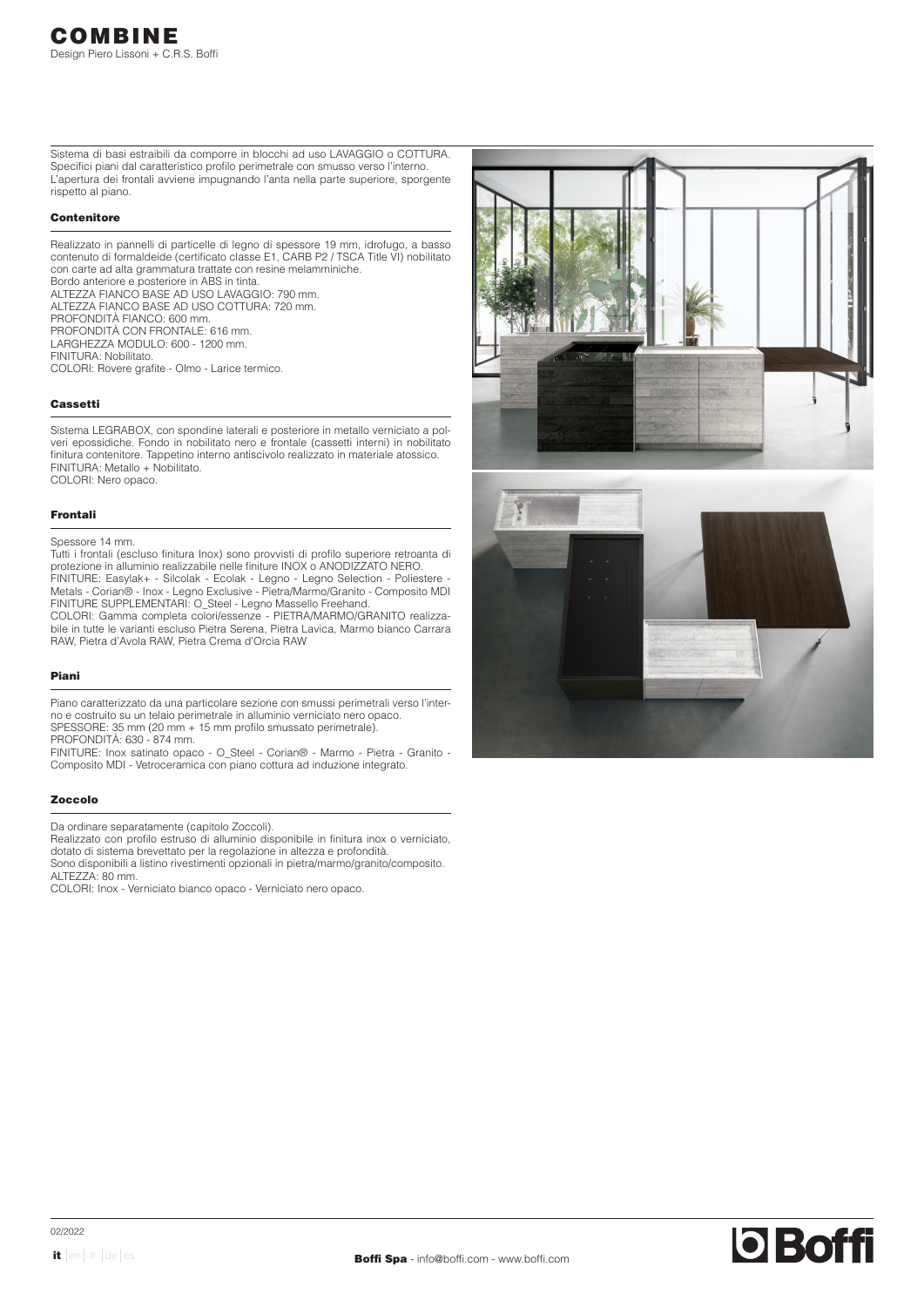Sistema di basi estraibili da comporre in blocchi ad uso LAVAGGIO o COTTURA. Specifici piani dal caratteristico profilo perimetrale con smusso verso l'interno. L'apertura dei frontali avviene impugnando l'anta nella parte superiore, sporgente rispetto al piano.

## **Contenitore**

Realizzato in pannelli di particelle di legno di spessore 19 mm, idrofugo, a basso contenuto di formaldeide (certificato classe E1, CARB P2 / TSCA Title VI) nobilitato con carte ad alta grammatura trattate con resine melamminiche. Bordo anteriore e posteriore in ABS in tinta. ALTEZZA FIANCO BASE AD USO LAVAGGIO: 790 mm. ALTEZZA FIANCO BASE AD USO COTTURA: 720 mm. PROFONDITÀ FIANCO: 600 mm. PROFONDITÀ CON FRONTALE: 616 mm. LARGHEZZA MODULO: 600 - 1200 mm. FINITURA: Nobilitato. COLORI: Rovere grafite - Olmo - Larice termico.

## Cassetti

Sistema LEGRABOX, con spondine laterali e posteriore in metallo verniciato a polveri epossidiche. Fondo in nobilitato nero e frontale (cassetti interni) in nobilitato finitura contenitore. Tappetino interno antiscivolo realizzato in materiale atossico. FINITURA: Metallo + Nobilitato.

COLORI: Nero opaco.

## Frontali

#### Spessore 14 mm.

Tutti i frontali (escluso finitura Inox) sono provvisti di profilo superiore retroanta di protezione in alluminio realizzabile nelle finiture INOX o ANODIZZATO NERO.

FINITURE: Easylak+ - Silcolak - Ecolak - Legno - Legno Selection - Poliestere - Metals - Corian® - Inox - Legno Exclusive - Pietra/Marmo/Granito - Composito MDI FINITURE SUPPLEMENTARI: O\_Steel - Legno Massello Freehand.

COLORI: Gamma completa colori/essenze - PIETRA/MARMO/GRANITO realizzabile in tutte le varianti escluso Pietra Serena, Pietra Lavica, Marmo bianco Carrara RAW, Pietra d'Avola RAW, Pietra Crema d'Orcia RAW

## Piani

Piano caratterizzato da una particolare sezione con smussi perimetrali verso l'interno e costruito su un telaio perimetrale in alluminio verniciato nero opaco. SPESSORE: 35 mm (20 mm + 15 mm profilo smussato perimetrale). PROFONDITÀ: 630 - 874 mm.

FINITURE: Inox satinato opaco - O\_Steel - Corian® - Marmo - Pietra - Granito - Composito MDI - Vetroceramica con piano cottura ad induzione integrato.

#### Zoccolo

Da ordinare separatamente (capitolo Zoccoli).

Realizzato con profilo estruso di alluminio disponibile in finitura inox o verniciato, dotato di sistema brevettato per la regolazione in altezza e profondità. Sono disponibili a listino rivestimenti opzionali in pietra/marmo/granito/composito.

ALTEZZA: 80 mm.

COLORI: Inox - Verniciato bianco opaco - Verniciato nero opaco.

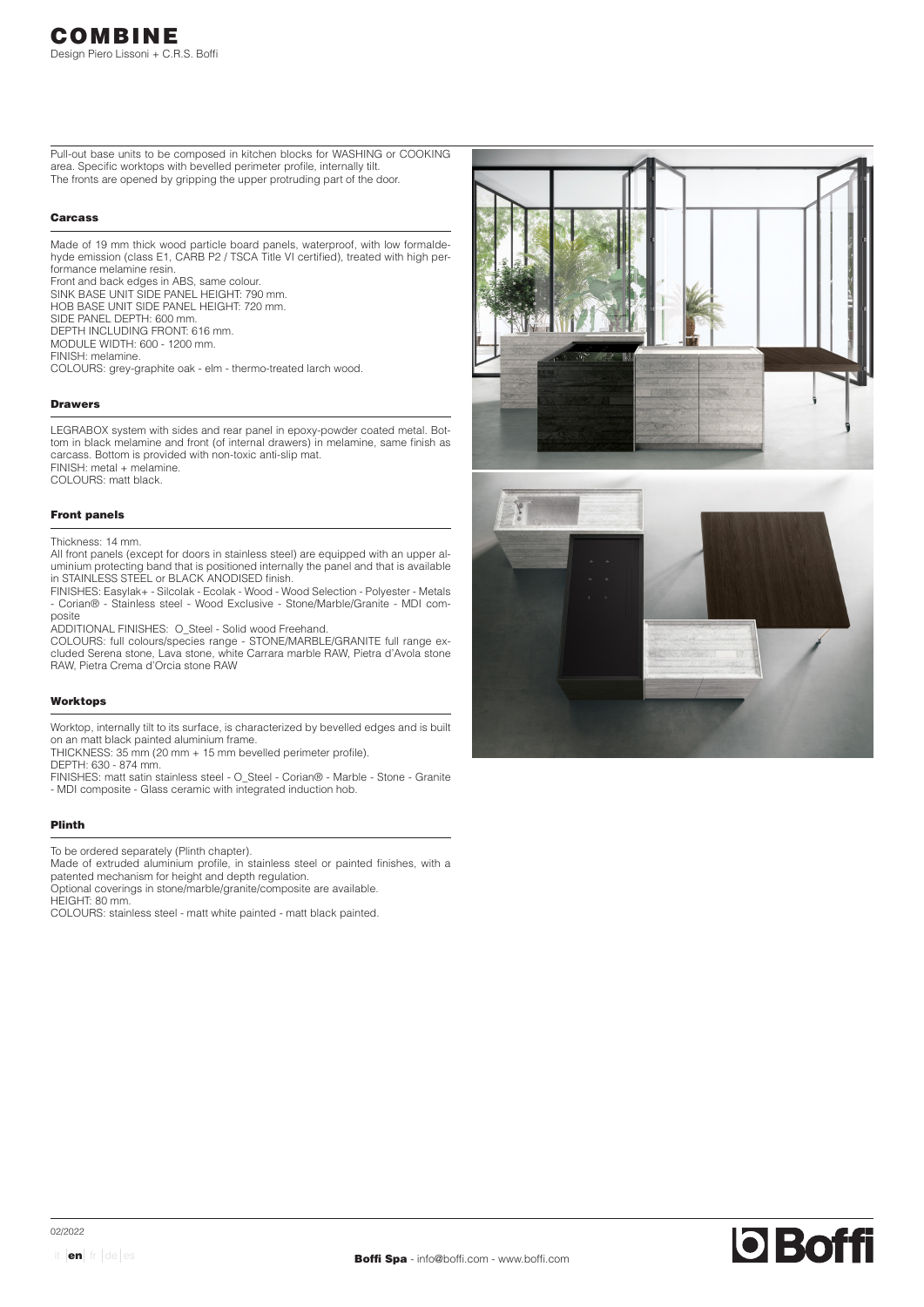Pull-out base units to be composed in kitchen blocks for WASHING or COOKING area. Specific worktops with bevelled perimeter profile, internally tilt. The fronts are opened by gripping the upper protruding part of the door.

## Carcass

Made of 19 mm thick wood particle board panels, waterproof, with low formaldehyde emission (class E1, CARB P2 / TSCA Title VI certified), treated with high performance melamine resin.

Front and back edges in ABS, same colour. SINK BASE UNIT SIDE PANEL HEIGHT: 790 mm. HOB BASE UNIT SIDE PANEL HEIGHT: 720 mm. SIDE PANEL DEPTH: 600 mm. DEPTH INCLUDING FRONT: 616 mm. MODULE WIDTH: 600 - 1200 mm. FINISH: melamine.

COLOURS: grey-graphite oak - elm - thermo-treated larch wood.

### Drawers

LEGRABOX system with sides and rear panel in epoxy-powder coated metal. Bottom in black melamine and front (of internal drawers) in melamine, same finish as carcass. Bottom is provided with non-toxic anti-slip mat. FINISH: metal + melamine.

COLOURS: matt black.

## Front panels

Thickness: 14 mm.

All front panels (except for doors in stainless steel) are equipped with an upper aluminium protecting band that is positioned internally the panel and that is available in STAINLESS STEEL or BLACK ANODISED finish.

FINISHES: Easylak+ - Silcolak - Ecolak - Wood - Wood Selection - Polyester - Metals - Corian® - Stainless steel - Wood Exclusive - Stone/Marble/Granite - MDI composite

ADDITIONAL FINISHES: O\_Steel - Solid wood Freehand.

COLOURS: full colours/species range - STONE/MARBLE/GRANITE full range excluded Serena stone, Lava stone, white Carrara marble RAW, Pietra d'Avola stone RAW, Pietra Crema d'Orcia stone RAW

## Worktops

Worktop, internally tilt to its surface, is characterized by bevelled edges and is built on an matt black painted aluminium frame.

THICKNESS: 35 mm (20 mm + 15 mm bevelled perimeter profile).

DEPTH: 630 - 874 mm.

FINISHES: matt satin stainless steel - O\_Steel - Corian® - Marble - Stone - Granite - MDI composite - Glass ceramic with integrated induction hob.

# Plinth

To be ordered separately (Plinth chapter).

Made of extruded aluminium profile, in stainless steel or painted finishes, with a patented mechanism for height and depth regulation.

Optional coverings in stone/marble/granite/composite are available.

HEIGHT: 80 mm.

COLOURS: stainless steel - matt white painted - matt black painted.

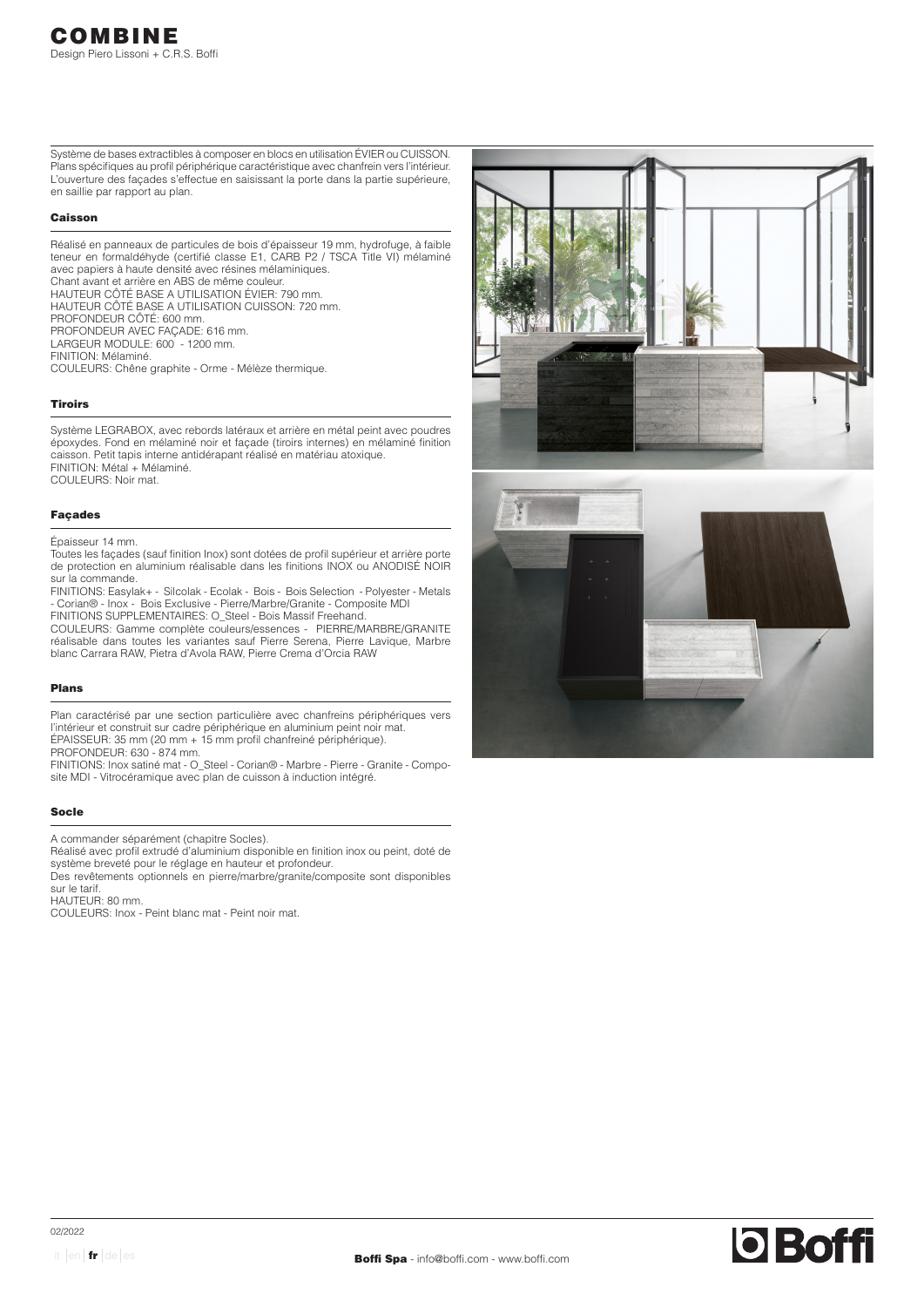Système de bases extractibles à composer en blocs en utilisation ÉVIER ou CUISSON. Plans spécifiques au profil périphérique caractéristique avec chanfrein vers l'intérieur. L'ouverture des façades s'effectue en saisissant la porte dans la partie supérieure, en saillie par rapport au plan.

## Caisson

Réalisé en panneaux de particules de bois d'épaisseur 19 mm, hydrofuge, à faible teneur en formaldéhyde (certifié classe E1, CARB P2 / TSCA Title VI) mélaminé avec papiers à haute densité avec résines mélaminiques. Chant avant et arrière en ABS de même couleur. HAUTEUR CÔTÉ BASE A UTILISATION ÉVIER: 790 mm. HAUTEUR CÔTÉ BASE A UTILISATION CUISSON: 720 mm. PROFONDEUR CÔTÉ: 600 mm. PROFONDEUR AVEC FAÇADE: 616 mm. LARGEUR MODULE: 600 - 1200 mm. FINITION: Mélaminé. COULEURS: Chêne graphite - Orme - Mélèze thermique.

## Tiroirs

Système LEGRABOX, avec rebords latéraux et arrière en métal peint avec poudres époxydes. Fond en mélaminé noir et façade (tiroirs internes) en mélaminé finition caisson. Petit tapis interne antidérapant réalisé en matériau atoxique. FINITION: Métal + Mélaminé.

COULEURS: Noir mat.

## Façades

Épaisseur 14 mm.

Toutes les façades (sauf finition Inox) sont dotées de profil supérieur et arrière porte de protection en aluminium réalisable dans les finitions INOX ou ANODISÉ NOIR sur la commande.

FINITIONS: Easylak+ - Silcolak - Ecolak - Bois - Bois Selection - Polyester - Metals - Corian® - Inox - Bois Exclusive - Pierre/Marbre/Granite - Composite MDI FINITIONS SUPPLEMENTAIRES: O\_Steel - Bois Massif Freehand.

COULEURS: Gamme complète couleurs/essences - PIERRE/MARBRE/GRANITE réalisable dans toutes les variantes sauf Pierre Serena, Pierre Lavique, Marbre blanc Carrara RAW, Pietra d'Avola RAW, Pierre Crema d'Orcia RAW

### Plans

Plan caractérisé par une section particulière avec chanfreins périphériques vers l'intérieur et construit sur cadre périphérique en aluminium peint noir mat. ÉPAISSEUR: 35 mm (20 mm + 15 mm profil chanfreiné périphérique). PROFONDEUR: 630 - 874 mm.

FINITIONS: Inox satiné mat - O\_Steel - Corian® - Marbre - Pierre - Granite - Composite MDI - Vitrocéramique avec plan de cuisson à induction intégré.

## Socle

A commander séparément (chapitre Socles).

Réalisé avec profil extrudé d'aluminium disponible en finition inox ou peint, doté de système breveté pour le réglage en hauteur et profondeur.

Des revêtements optionnels en pierre/marbre/granite/composite sont disponibles sur le tarif.

HAUTEUR: 80 mm.

COULEURS: Inox - Peint blanc mat - Peint noir mat.



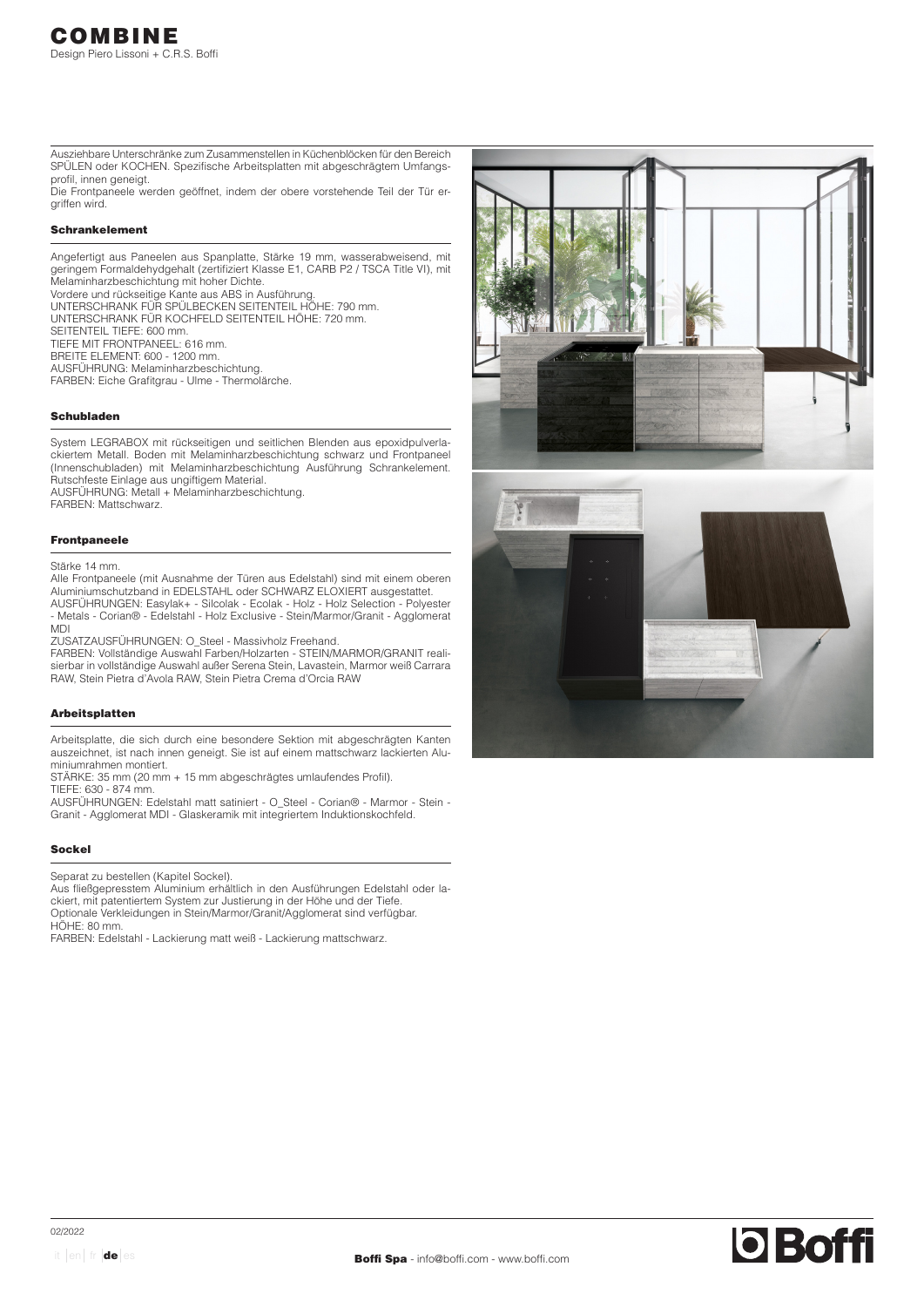Ausziehbare Unterschränke zum Zusammenstellen in Küchenblöcken für den Bereich SPÜLEN oder KOCHEN. Spezifische Arbeitsplatten mit abgeschrägtem Umfangsprofil, innen geneigt.

Die Frontpaneele werden geöffnet, indem der obere vorstehende Teil der Tür ergriffen wird.

# Schrankelement

Angefertigt aus Paneelen aus Spanplatte, Stärke 19 mm, wasserabweisend, mit geringem Formaldehydgehalt (zertifiziert Klasse E1, CARB P2 / TSCA Title VI), mit Melaminharzbeschichtung mit hoher Dichte.

Vordere und rückseitige Kante aus ABS in Ausführung.

UNTERSCHRANK FÜR SPÜLBECKEN SEITENTEIL HÖHE: 790 mm. UNTERSCHRANK FÜR KOCHFELD SEITENTEIL HÖHE: 720 mm.

SEITENTEIL TIEFE: 600 mm.

TIEFE MIT FRONTPANEEL: 616 mm.

BREITE ELEMENT: 600 - 1200 mm.

AUSFÜHRUNG: Melaminharzbeschichtung.

FARBEN: Eiche Grafitgrau - Ulme - Thermolärche.

## Schubladen

System LEGRABOX mit rückseitigen und seitlichen Blenden aus epoxidpulverlackiertem Metall. Boden mit Melaminharzbeschichtung schwarz und Frontpaneel (Innenschubladen) mit Melaminharzbeschichtung Ausführung Schrankelement. Rutschfeste Einlage aus ungiftigem Material. AUSFÜHRUNG: Metall + Melaminharzbeschichtung. FARBEN: Mattschwarz.

## Frontpaneele

## Stärke 14 mm.

Alle Frontpaneele (mit Ausnahme der Türen aus Edelstahl) sind mit einem oberen Aluminiumschutzband in EDELSTAHL oder SCHWARZ ELOXIERT ausgestattet. AUSFÜHRUNGEN: Easylak+ - Silcolak - Ecolak - Holz - Holz Selection - Polyester

- Metals - Corian® - Edelstahl - Holz Exclusive - Stein/Marmor/Granit - Agglomerat MDI

ZUSATZAUSFÜHRUNGEN: O\_Steel - Massivholz Freehand.

FARBEN: Vollständige Auswahl Farben/Holzarten - STEIN/MARMOR/GRANIT realisierbar in vollständige Auswahl außer Serena Stein, Lavastein, Marmor weiß Carrara RAW, Stein Pietra d'Avola RAW, Stein Pietra Crema d'Orcia RAW

## Arbeitsplatten

Arbeitsplatte, die sich durch eine besondere Sektion mit abgeschrägten Kanten auszeichnet, ist nach innen geneigt. Sie ist auf einem mattschwarz lackierten Aluminiumrahmen montiert.

STÄRKE: 35 mm (20 mm + 15 mm abgeschrägtes umlaufendes Profil).

TIEFE: 630 - 874 mm.

AUSFÜHRUNGEN: Edelstahl matt satiniert - O\_Steel - Corian® - Marmor - Stein - Granit - Agglomerat MDI - Glaskeramik mit integriertem Induktionskochfeld.

## Sockel

Separat zu bestellen (Kapitel Sockel).

Aus fließgepresstem Aluminium erhältlich in den Ausführungen Edelstahl oder lackiert, mit patentiertem System zur Justierung in der Höhe und der Tiefe. Optionale Verkleidungen in Stein/Marmor/Granit/Agglomerat sind verfügbar. HÖHE: 80 mm.

FARBEN: Edelstahl - Lackierung matt weiß - Lackierung mattschwarz.